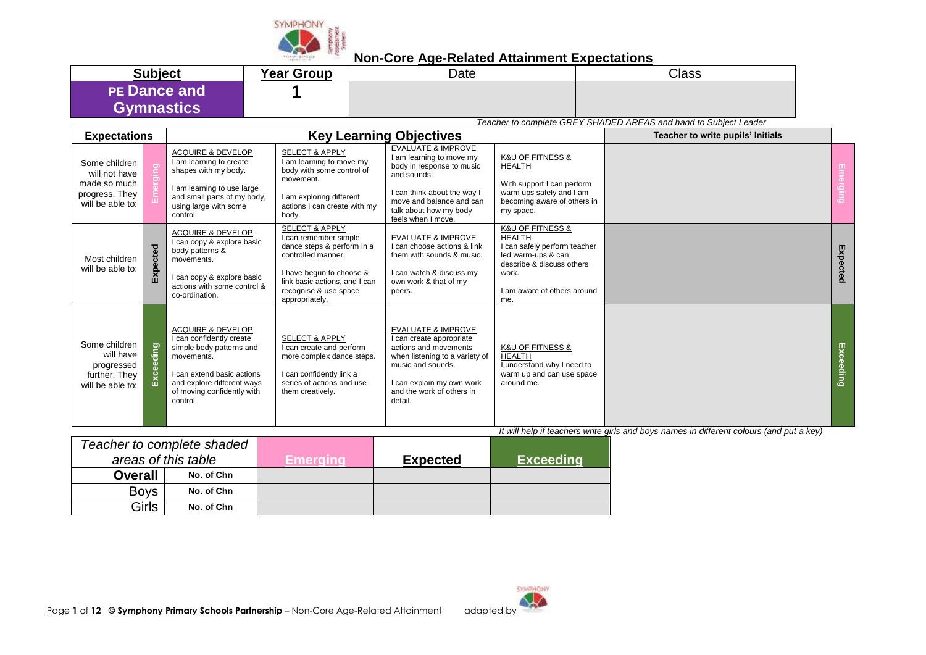

| <b>Subject</b>      | <b>Year Group</b> | Date | <b>Class</b> |
|---------------------|-------------------|------|--------------|
| <b>PE Dance and</b> |                   |      |              |
| <b>Gymnastics</b>   |                   |      |              |

*Teacher to complete GREY SHADED AREAS and hand to Subject Leader*

| <b>Expectations</b>                                                                  |              |                                                                                                                                                                                                          | <b>Key Learning Objectives</b>                                                                                                                                                                                 | Teacher to write pupils' Initials                                                                                                                                                                                |                                                                                                                                                                     |  |                  |
|--------------------------------------------------------------------------------------|--------------|----------------------------------------------------------------------------------------------------------------------------------------------------------------------------------------------------------|----------------------------------------------------------------------------------------------------------------------------------------------------------------------------------------------------------------|------------------------------------------------------------------------------------------------------------------------------------------------------------------------------------------------------------------|---------------------------------------------------------------------------------------------------------------------------------------------------------------------|--|------------------|
| Some children<br>will not have<br>made so much<br>progress. They<br>will be able to: |              | <b>ACQUIRE &amp; DEVELOP</b><br>I am learning to create<br>shapes with my body.<br>I am learning to use large<br>and small parts of my body,<br>using large with some<br>control.                        | <b>SELECT &amp; APPLY</b><br>I am learning to move my<br>body with some control of<br>movement.<br>I am exploring different<br>actions I can create with my<br>body.                                           | <b>EVALUATE &amp; IMPROVE</b><br>I am learning to move my<br>body in response to music<br>and sounds.<br>I can think about the way I<br>move and balance and can<br>talk about how my body<br>feels when I move. | <b>K&amp;U OF FITNESS &amp;</b><br><b>HEALTH</b><br>With support I can perform<br>warm ups safely and I am<br>becoming aware of others in<br>my space.              |  | ō                |
| Most children<br>will be able to:                                                    | ected<br>Exp | <b>ACQUIRE &amp; DEVELOP</b><br>I can copy & explore basic<br>body patterns &<br>movements.<br>I can copy & explore basic<br>actions with some control &<br>co-ordination.                               | <b>SELECT &amp; APPLY</b><br>I can remember simple<br>dance steps & perform in a<br>controlled manner.<br>I have begun to choose &<br>link basic actions, and I can<br>recognise & use space<br>appropriately. | <b>EVALUATE &amp; IMPROVE</b><br>I can choose actions & link<br>them with sounds & music.<br>I can watch & discuss my<br>own work & that of my<br>peers.                                                         | K&U OF FITNESS &<br><b>HEALTH</b><br>I can safely perform teacher<br>led warm-ups & can<br>describe & discuss others<br>work.<br>I am aware of others around<br>me. |  | Expected         |
| Some children<br>will have<br>progressed<br>further. They<br>will be able to:        | Exceeding    | <b>ACQUIRE &amp; DEVELOP</b><br>I can confidently create<br>simple body patterns and<br>movements.<br>I can extend basic actions<br>and explore different ways<br>of moving confidently with<br>control. | <b>SELECT &amp; APPLY</b><br>I can create and perform<br>more complex dance steps.<br>I can confidently link a<br>series of actions and use<br>them creatively.                                                | <b>EVALUATE &amp; IMPROVE</b><br>I can create appropriate<br>actions and movements<br>when listening to a variety of<br>music and sounds.<br>I can explain my own work<br>and the work of others in<br>detail.   | <b>K&amp;U OF FITNESS &amp;</b><br><b>HEALTH</b><br>I understand why I need to<br>warm up and can use space<br>around me.                                           |  | <b>Exceeding</b> |

|                     | Teacher to complete shaded |           |                 |                  |
|---------------------|----------------------------|-----------|-----------------|------------------|
| areas of this table |                            | Emergingi | <b>Expected</b> | <b>Exceeding</b> |
| <b>Overall</b>      | No. of Chn                 |           |                 |                  |
| <b>Boys</b>         | No. of Chn                 |           |                 |                  |
| Girls               | No. of Chn                 |           |                 |                  |

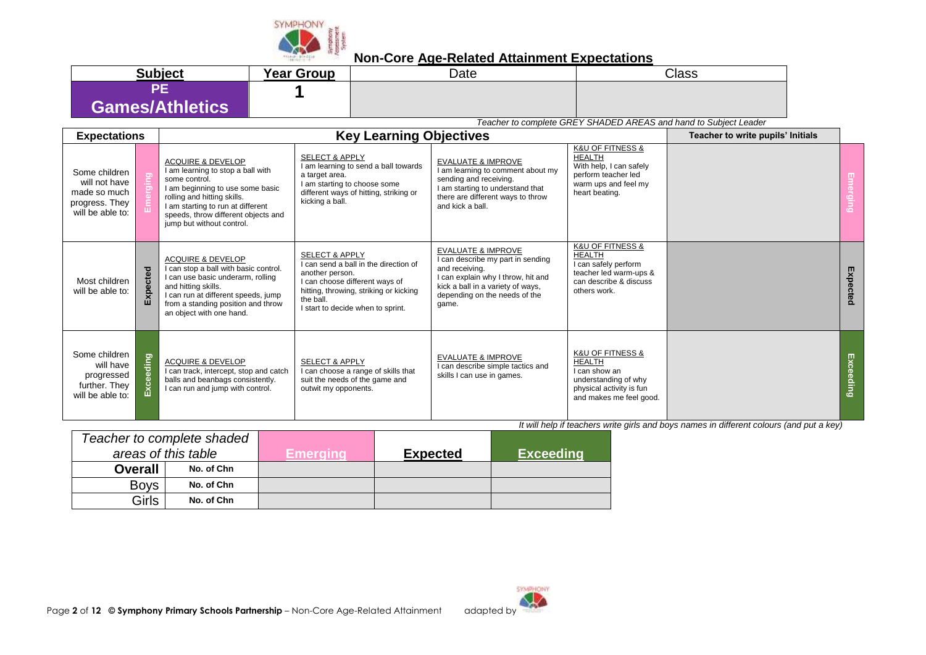

| <b>Subject</b>         | <b>Year Group</b> | Date | Class |
|------------------------|-------------------|------|-------|
| ÆF                     |                   |      |       |
| <b>Games/Athletics</b> |                   |      |       |

*Teacher to complete GREY SHADED AREAS and hand to Subject Leader*

| <b>Expectations</b>                                                                  |             |                                                                                                                                                                                                                                                                | Teacher to write pupils' Initials                                                                                                                                                                                   |                                                                                                                                                                                                           |                                                                                                                                                  |  |           |
|--------------------------------------------------------------------------------------|-------------|----------------------------------------------------------------------------------------------------------------------------------------------------------------------------------------------------------------------------------------------------------------|---------------------------------------------------------------------------------------------------------------------------------------------------------------------------------------------------------------------|-----------------------------------------------------------------------------------------------------------------------------------------------------------------------------------------------------------|--------------------------------------------------------------------------------------------------------------------------------------------------|--|-----------|
| Some children<br>will not have<br>made so much<br>progress. They<br>will be able to: |             | <b>ACQUIRE &amp; DEVELOP</b><br>I am learning to stop a ball with<br>some control.<br>I am beginning to use some basic<br>rolling and hitting skills.<br>I am starting to run at different<br>speeds, throw different objects and<br>jump but without control. | <b>SELECT &amp; APPLY</b><br>I am learning to send a ball towards<br>a target area.<br>I am starting to choose some<br>different ways of hitting, striking or<br>kicking a ball.                                    | <b>EVALUATE &amp; IMPROVE</b><br>I am learning to comment about my<br>sending and receiving.<br>I am starting to understand that<br>there are different ways to throw<br>and kick a ball.                 | <b>K&amp;U OF FITNESS &amp;</b><br><b>HEALTH</b><br>With help, I can safely<br>perform teacher led<br>warm ups and feel my<br>heart beating.     |  |           |
| Most children<br>will be able to:                                                    | pected<br>ш | <b>ACQUIRE &amp; DEVELOP</b><br>I can stop a ball with basic control.<br>I can use basic underarm, rolling<br>and hitting skills.<br>I can run at different speeds, jump<br>from a standing position and throw<br>an object with one hand.                     | <b>SELECT &amp; APPLY</b><br>I can send a ball in the direction of<br>another person.<br>I can choose different ways of<br>hitting, throwing, striking or kicking<br>the ball.<br>I start to decide when to sprint. | <b>EVALUATE &amp; IMPROVE</b><br>I can describe my part in sending<br>and receiving.<br>I can explain why I throw, hit and<br>kick a ball in a variety of ways,<br>depending on the needs of the<br>game. | <b>K&amp;U OF FITNESS &amp;</b><br><b>HEALTH</b><br>I can safely perform<br>teacher led warm-ups &<br>can describe & discuss<br>others work.     |  | Expected  |
| Some children<br>will have<br>progressed<br>further. They<br>will be able to:        | eeding      | <b>ACQUIRE &amp; DEVELOP</b><br>I can track, intercept, stop and catch<br>balls and beanbags consistently.<br>I can run and jump with control.                                                                                                                 | <b>SELECT &amp; APPLY</b><br>I can choose a range of skills that<br>suit the needs of the game and<br>outwit my opponents.                                                                                          | <b>EVALUATE &amp; IMPROVE</b><br>I can describe simple tactics and<br>skills I can use in games.                                                                                                          | <b>K&amp;U OF FITNESS &amp;</b><br><b>HEALTH</b><br>I can show an<br>understanding of why<br>physical activity is fun<br>and makes me feel good. |  | Exceeding |

|                     | Teacher to complete shaded |          |                 |                  |
|---------------------|----------------------------|----------|-----------------|------------------|
| areas of this table |                            | Emeraina | <b>Expected</b> | <b>Exceeding</b> |
| <b>Overall</b>      | No. of Chn                 |          |                 |                  |
| <b>Boys</b>         | No. of Chn                 |          |                 |                  |
| Girls               | No. of Chn                 |          |                 |                  |

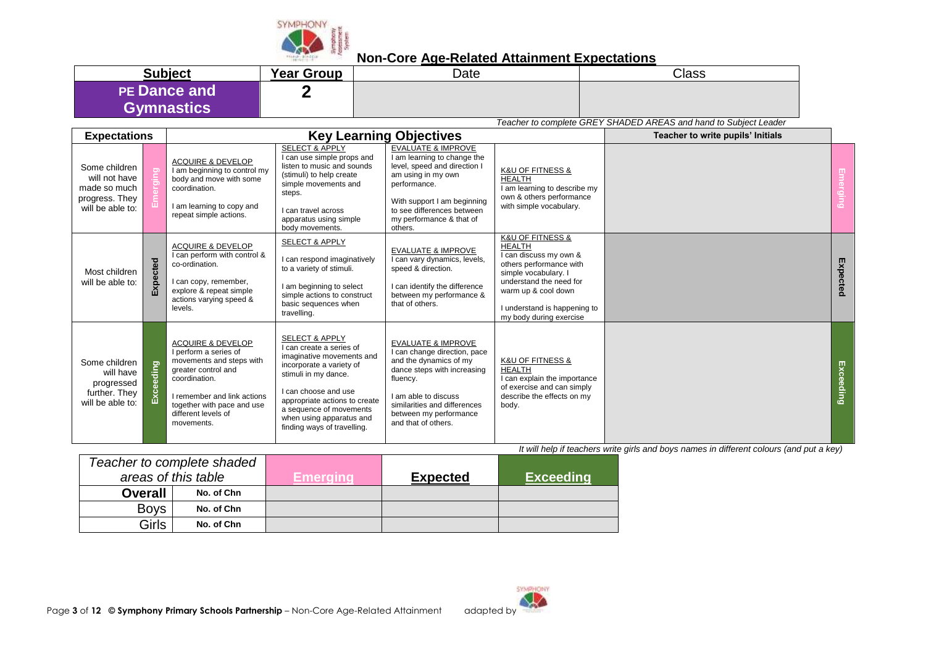

| <b>Subject</b>      | <b>Year Group</b> | Date | <b>Class</b> |
|---------------------|-------------------|------|--------------|
| <b>PE Dance and</b> |                   |      |              |
| <b>Gymnastics</b>   |                   |      |              |

*Teacher to complete GREY SHADED AREAS and hand to Subject Leader*

|                                                                                      |            |                                                                                                                                                                                                                             |                                                                                                                                                                                                                                                                                       | Teacher to complete GREY SHADED AREAS and hand to Subject Leader                                                                                                                                                                            |                                                                                                                                                                                                                                            |  |           |
|--------------------------------------------------------------------------------------|------------|-----------------------------------------------------------------------------------------------------------------------------------------------------------------------------------------------------------------------------|---------------------------------------------------------------------------------------------------------------------------------------------------------------------------------------------------------------------------------------------------------------------------------------|---------------------------------------------------------------------------------------------------------------------------------------------------------------------------------------------------------------------------------------------|--------------------------------------------------------------------------------------------------------------------------------------------------------------------------------------------------------------------------------------------|--|-----------|
| <b>Key Learning Objectives</b><br><b>Expectations</b>                                |            |                                                                                                                                                                                                                             |                                                                                                                                                                                                                                                                                       |                                                                                                                                                                                                                                             | Teacher to write pupils' Initials                                                                                                                                                                                                          |  |           |
| Some children<br>will not have<br>made so much<br>progress. They<br>will be able to: |            | <b>ACQUIRE &amp; DEVELOP</b><br>I am beginning to control my<br>body and move with some<br>coordination.<br>I am learning to copy and<br>repeat simple actions.                                                             | <b>SELECT &amp; APPLY</b><br>can use simple props and<br>listen to music and sounds<br>(stimuli) to help create<br>simple movements and<br>steps.<br>I can travel across<br>apparatus using simple<br>body movements.                                                                 | <b>EVALUATE &amp; IMPROVE</b><br>I am learning to change the<br>level, speed and direction I<br>am using in my own<br>performance.<br>With support I am beginning<br>to see differences between<br>my performance & that of<br>others.      | <b>K&amp;U OF FITNESS &amp;</b><br><b>HEALTH</b><br>I am learning to describe my<br>own & others performance<br>with simple vocabulary.                                                                                                    |  |           |
| Most children<br>will be able to:                                                    | cted<br>띳  | <b>ACQUIRE &amp; DEVELOP</b><br>I can perform with control &<br>co-ordination.<br>I can copy, remember,<br>explore & repeat simple<br>actions varying speed &<br>levels.                                                    | <b>SELECT &amp; APPLY</b><br>can respond imaginatively<br>to a variety of stimuli.<br>I am beginning to select<br>simple actions to construct<br>basic sequences when<br>travelling.                                                                                                  | <b>EVALUATE &amp; IMPROVE</b><br>I can vary dynamics, levels,<br>speed & direction.<br>I can identify the difference<br>between my performance &<br>that of others.                                                                         | <b>K&amp;U OF FITNESS &amp;</b><br><b>HEALTH</b><br>I can discuss my own &<br>others performance with<br>simple vocabulary. I<br>understand the need for<br>warm up & cool down<br>I understand is happening to<br>my body during exercise |  | Expected  |
| Some children<br>will have<br>progressed<br>further. They<br>will be able to:        | eding<br>仅 | <b>ACQUIRE &amp; DEVELOP</b><br>I perform a series of<br>movements and steps with<br>greater control and<br>coordination.<br>I remember and link actions<br>together with pace and use<br>different levels of<br>movements. | <b>SELECT &amp; APPLY</b><br>I can create a series of<br>imaginative movements and<br>incorporate a variety of<br>stimuli in my dance.<br>I can choose and use<br>appropriate actions to create<br>a sequence of movements<br>when using apparatus and<br>finding ways of travelling. | <b>EVALUATE &amp; IMPROVE</b><br>I can change direction, pace<br>and the dynamics of my<br>dance steps with increasing<br>fluency.<br>I am able to discuss<br>similarities and differences<br>between my performance<br>and that of others. | <b>K&amp;U OF FITNESS &amp;</b><br><b>HEALTH</b><br>I can explain the importance<br>of exercise and can simply<br>describe the effects on my<br>body.                                                                                      |  | Exceeding |

| Teacher to complete shaded |            |                 |                 |                  |
|----------------------------|------------|-----------------|-----------------|------------------|
| areas of this table        |            | <b>Emerging</b> | <b>Expected</b> | <b>Exceeding</b> |
| <b>Overall</b>             | No. of Chn |                 |                 |                  |
| <b>Boys</b>                | No. of Chn |                 |                 |                  |
| Girls                      | No. of Chn |                 |                 |                  |

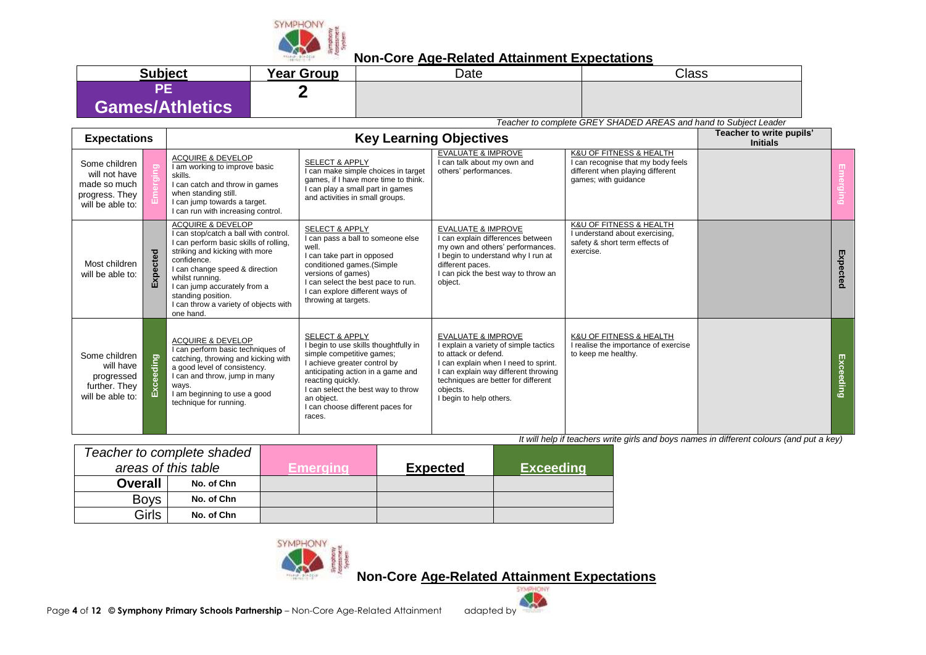

| <b>Subject</b>  | <b>Year Group</b> | Date | Class |
|-----------------|-------------------|------|-------|
| Games/Athletics |                   |      |       |

*Teacher to complete GREY SHADED AREAS and hand to Subject Leader*

| <b>Expectations</b> |                                                                                      |           |                                                                                                                                                                                                                                                                                                                                   |                                                                                                                                                                                                                                                                                             | <b>Key Learning Objectives</b>                                                                                                                                                                                                                               |                                                                                                                           | Teacher to write pupils'<br><b>Initials</b> |           |
|---------------------|--------------------------------------------------------------------------------------|-----------|-----------------------------------------------------------------------------------------------------------------------------------------------------------------------------------------------------------------------------------------------------------------------------------------------------------------------------------|---------------------------------------------------------------------------------------------------------------------------------------------------------------------------------------------------------------------------------------------------------------------------------------------|--------------------------------------------------------------------------------------------------------------------------------------------------------------------------------------------------------------------------------------------------------------|---------------------------------------------------------------------------------------------------------------------------|---------------------------------------------|-----------|
|                     | Some children<br>will not have<br>made so much<br>progress. They<br>will be able to: |           | <b>ACQUIRE &amp; DEVELOP</b><br>I am working to improve basic<br>skills.<br>I can catch and throw in games<br>when standing still.<br>I can jump towards a target.<br>I can run with increasing control.                                                                                                                          | <b>SELECT &amp; APPLY</b><br>I can make simple choices in target<br>games, if I have more time to think.<br>I can play a small part in games<br>and activities in small groups.                                                                                                             | <b>EVALUATE &amp; IMPROVE</b><br>I can talk about my own and<br>others' performances.                                                                                                                                                                        | K&U OF FITNESS & HEALTH<br>I can recognise that my body feels<br>different when playing different<br>games; with guidance |                                             |           |
|                     | Most children<br>will be able to:                                                    | cted<br>囚 | <b>ACQUIRE &amp; DEVELOP</b><br>I can stop/catch a ball with control.<br>I can perform basic skills of rolling,<br>striking and kicking with more<br>confidence.<br>I can change speed & direction<br>whilst running.<br>I can jump accurately from a<br>standing position.<br>I can throw a variety of objects with<br>one hand. | <b>SELECT &amp; APPLY</b><br>I can pass a ball to someone else<br>well.<br>I can take part in opposed<br>conditioned games.(Simple<br>versions of games)<br>I can select the best pace to run.<br>I can explore different ways of<br>throwing at targets.                                   | <b>EVALUATE &amp; IMPROVE</b><br>I can explain differences between<br>my own and others' performances.<br>I begin to understand why I run at<br>different paces.<br>I can pick the best way to throw an<br>object.                                           | <b>K&amp;U OF FITNESS &amp; HEALTH</b><br>I understand about exercising,<br>safety & short term effects of<br>exercise.   |                                             | Expected  |
|                     | Some children<br>will have<br>progressed<br>further. They<br>will be able to:        | Exceeding | <b>ACQUIRE &amp; DEVELOP</b><br>I can perform basic techniques of<br>catching, throwing and kicking with<br>a good level of consistency.<br>I can and throw, jump in many<br>ways.<br>I am beginning to use a good<br>technique for running.                                                                                      | <b>SELECT &amp; APPLY</b><br>I begin to use skills thoughtfully in<br>simple competitive games;<br>I achieve greater control by<br>anticipating action in a game and<br>reacting quickly.<br>I can select the best way to throw<br>an object.<br>I can choose different paces for<br>races. | <b>EVALUATE &amp; IMPROVE</b><br>I explain a variety of simple tactics<br>to attack or defend.<br>I can explain when I need to sprint.<br>I can explain way different throwing<br>techniques are better for different<br>objects.<br>I begin to help others. | K&U OF FITNESS & HEALTH<br>I realise the importance of exercise<br>to keep me healthy.                                    |                                             | Exceeding |

*It will help if teachers write girls and boys names in different colours (and put a key)*

|                     | Teacher to complete shaded |           |                 |                  |
|---------------------|----------------------------|-----------|-----------------|------------------|
| areas of this table |                            | Emeraına' | <b>Expected</b> | <b>Exceeding</b> |
| <b>Overall</b>      | No. of Chn                 |           |                 |                  |
| <b>Boys</b>         | No. of Chn                 |           |                 |                  |
| Girls               | No. of Chn                 |           |                 |                  |

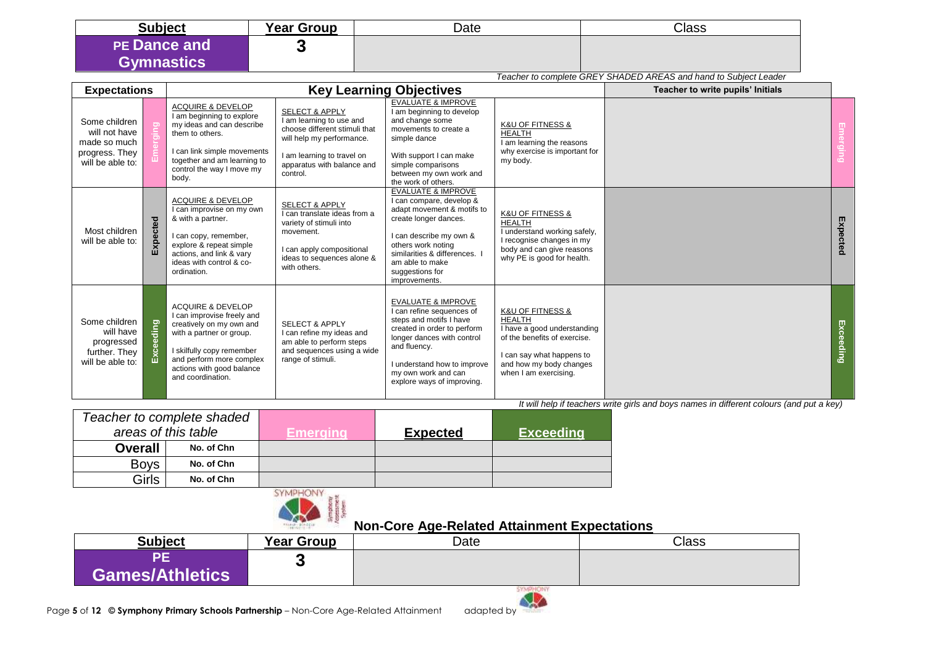| <b>Subject</b>                           | <b>Year Group</b> | Date | Class |
|------------------------------------------|-------------------|------|-------|
| <b>PE Dance and</b><br><b>Gymnastics</b> |                   |      |       |

|                                                                                      |           |                                                                                                                                                                                                                               |                                                                                                                                                                                             |                                                                                                                                                                                                                                                     |                                                                                                                                                                                                  | Teacher to complete GREY SHADED AREAS and hand to Subject Leader |           |
|--------------------------------------------------------------------------------------|-----------|-------------------------------------------------------------------------------------------------------------------------------------------------------------------------------------------------------------------------------|---------------------------------------------------------------------------------------------------------------------------------------------------------------------------------------------|-----------------------------------------------------------------------------------------------------------------------------------------------------------------------------------------------------------------------------------------------------|--------------------------------------------------------------------------------------------------------------------------------------------------------------------------------------------------|------------------------------------------------------------------|-----------|
| <b>Expectations</b>                                                                  |           |                                                                                                                                                                                                                               | Teacher to write pupils' Initials                                                                                                                                                           |                                                                                                                                                                                                                                                     |                                                                                                                                                                                                  |                                                                  |           |
| Some children<br>will not have<br>made so much<br>progress. They<br>will be able to: |           | <b>ACQUIRE &amp; DEVELOP</b><br>I am beginning to explore<br>my ideas and can describe<br>them to others.<br>I can link simple movements<br>together and am learning to<br>control the way I move my<br>body.                 | <b>SELECT &amp; APPLY</b><br>I am learning to use and<br>choose different stimuli that<br>will help my performance.<br>I am learning to travel on<br>apparatus with balance and<br>control. | <b>EVALUATE &amp; IMPROVE</b><br>am beginning to develop<br>and change some<br>movements to create a<br>simple dance<br>With support I can make<br>simple comparisons<br>between my own work and<br>the work of others.                             | <b>K&amp;U OF FITNESS &amp;</b><br><b>HEALTH</b><br>I am learning the reasons<br>why exercise is important for<br>my body.                                                                       |                                                                  |           |
| Most children<br>will be able to:                                                    | cted<br>ш | <b>ACQUIRE &amp; DEVELOP</b><br>I can improvise on my own<br>& with a partner.<br>I can copy, remember,<br>explore & repeat simple<br>actions, and link & vary<br>ideas with control & co-<br>ordination.                     | <b>SELECT &amp; APPLY</b><br>I can translate ideas from a<br>variety of stimuli into<br>movement.<br>I can apply compositional<br>ideas to sequences alone &<br>with others.                | <b>EVALUATE &amp; IMPROVE</b><br>can compare, develop &<br>adapt movement & motifs to<br>create longer dances.<br>can describe my own &<br>others work noting<br>similarities & differences.<br>am able to make<br>suggestions for<br>improvements. | <b>K&amp;U OF FITNESS &amp;</b><br><b>HEALTH</b><br>I understand working safely,<br>I recognise changes in my<br>body and can give reasons<br>why PE is good for health.                         |                                                                  | Expected  |
| Some children<br>will have<br>progressed<br>further. They<br>will be able to:        | guib      | <b>ACQUIRE &amp; DEVELOP</b><br>I can improvise freely and<br>creatively on my own and<br>with a partner or group.<br>I skilfully copy remember<br>and perform more complex<br>actions with good balance<br>and coordination. | <b>SELECT &amp; APPLY</b><br>I can refine my ideas and<br>am able to perform steps<br>and sequences using a wide<br>range of stimuli.                                                       | <b>EVALUATE &amp; IMPROVE</b><br>can refine sequences of<br>steps and motifs I have<br>created in order to perform<br>longer dances with control<br>and fluency.<br>understand how to improve<br>my own work and can                                | <b>K&amp;U OF FITNESS &amp;</b><br><b>HEALTH</b><br>I have a good understanding<br>of the benefits of exercise.<br>I can say what happens to<br>and how my body changes<br>when I am exercising. |                                                                  | Exceeding |

|                     | Teacher to complete shaded |          |                 |                  |
|---------------------|----------------------------|----------|-----------------|------------------|
| areas of this table |                            | Emeraina | <b>Expected</b> | <b>Exceeding</b> |
| <b>Overall</b>      | No. of Chn                 |          |                 |                  |
| <b>Boys</b>         | No. of Chn                 |          |                 |                  |
| Girls               | No. of Chn                 |          |                 |                  |



#### **Non-Core Age-Related Attainment Expectations**

| <b>Subject</b>  | <b>Year Group</b> | Date | <b>Class</b> |
|-----------------|-------------------|------|--------------|
| Games/Athletics |                   |      |              |
|                 |                   |      |              |

explore ways of improving.

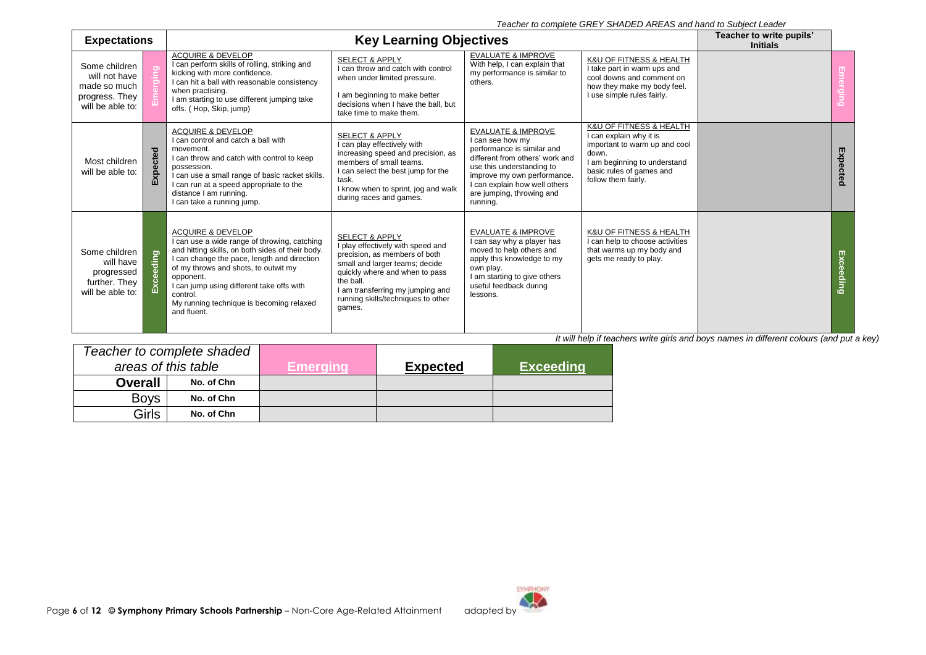*Teacher to complete GREY SHADED AREAS and hand to Subject Leader*

| <b>Expectations</b>                                                                  | <b>Key Learning Objectives</b> |                                                                                                                                                                                                                                                                                                                                                          |                                                                                                                                                                                                                                                                      |                                                                                                                                                                                                                                                          | Teacher to write pupils'<br><b>Initials</b>                                                                                                                                     |  |           |
|--------------------------------------------------------------------------------------|--------------------------------|----------------------------------------------------------------------------------------------------------------------------------------------------------------------------------------------------------------------------------------------------------------------------------------------------------------------------------------------------------|----------------------------------------------------------------------------------------------------------------------------------------------------------------------------------------------------------------------------------------------------------------------|----------------------------------------------------------------------------------------------------------------------------------------------------------------------------------------------------------------------------------------------------------|---------------------------------------------------------------------------------------------------------------------------------------------------------------------------------|--|-----------|
| Some children<br>will not have<br>made so much<br>progress. They<br>will be able to: |                                | <b>ACQUIRE &amp; DEVELOP</b><br>I can perform skills of rolling, striking and<br>kicking with more confidence.<br>I can hit a ball with reasonable consistency<br>when practising.<br>I am starting to use different jumping take<br>offs. (Hop, Skip, jump)                                                                                             | <b>SELECT &amp; APPLY</b><br>I can throw and catch with control<br>when under limited pressure.<br>I am beginning to make better<br>decisions when I have the ball, but<br>take time to make them.                                                                   | <b>EVALUATE &amp; IMPROVE</b><br>With help, I can explain that<br>my performance is similar to<br>others.                                                                                                                                                | K&U OF FITNESS & HEALTH<br>I take part in warm ups and<br>cool downs and comment on<br>how they make my body feel.<br>I use simple rules fairly.                                |  |           |
| Most children<br>will be able to:                                                    | pected<br>囚                    | <b>ACQUIRE &amp; DEVELOP</b><br>I can control and catch a ball with<br>movement.<br>I can throw and catch with control to keep<br>possession.<br>I can use a small range of basic racket skills.<br>I can run at a speed appropriate to the<br>distance I am running.<br>I can take a running jump.                                                      | <b>SELECT &amp; APPLY</b><br>I can play effectively with<br>increasing speed and precision, as<br>members of small teams.<br>I can select the best jump for the<br>task.<br>I know when to sprint, jog and walk<br>during races and games.                           | <b>EVALUATE &amp; IMPROVE</b><br>I can see how my<br>performance is similar and<br>different from others' work and<br>use this understanding to<br>improve my own performance.<br>I can explain how well others<br>are jumping, throwing and<br>running. | K&U OF FITNESS & HEALTH<br>I can explain why it is<br>important to warm up and cool<br>down.<br>I am beginning to understand<br>basic rules of games and<br>follow them fairly. |  | Expected  |
| Some children<br>will have<br>progressed<br>further. They<br>will be able to:        | Exceeding                      | <b>ACQUIRE &amp; DEVELOP</b><br>I can use a wide range of throwing, catching<br>and hitting skills, on both sides of their body.<br>I can change the pace, length and direction<br>of my throws and shots, to outwit my<br>opponent.<br>I can jump using different take offs with<br>control.<br>My running technique is becoming relaxed<br>and fluent. | <b>SELECT &amp; APPLY</b><br>I play effectively with speed and<br>precision, as members of both<br>small and larger teams; decide<br>quickly where and when to pass<br>the ball.<br>I am transferring my jumping and<br>running skills/techniques to other<br>games. | <b>EVALUATE &amp; IMPROVE</b><br>I can say why a player has<br>moved to help others and<br>apply this knowledge to my<br>own play.<br>I am starting to give others<br>useful feedback during<br>lessons.                                                 | K&U OF FITNESS & HEALTH<br>I can help to choose activities<br>that warms up my body and<br>gets me ready to play.                                                               |  | Exceeding |

|                     | Teacher to complete shaded |           |                 |                  |
|---------------------|----------------------------|-----------|-----------------|------------------|
| areas of this table |                            | Emerainal | <b>Expected</b> | <b>Exceeding</b> |
| <b>Overall</b>      | No. of Chn                 |           |                 |                  |
| <b>Boys</b>         | No. of Chn                 |           |                 |                  |
| Girls               | No. of Chn                 |           |                 |                  |

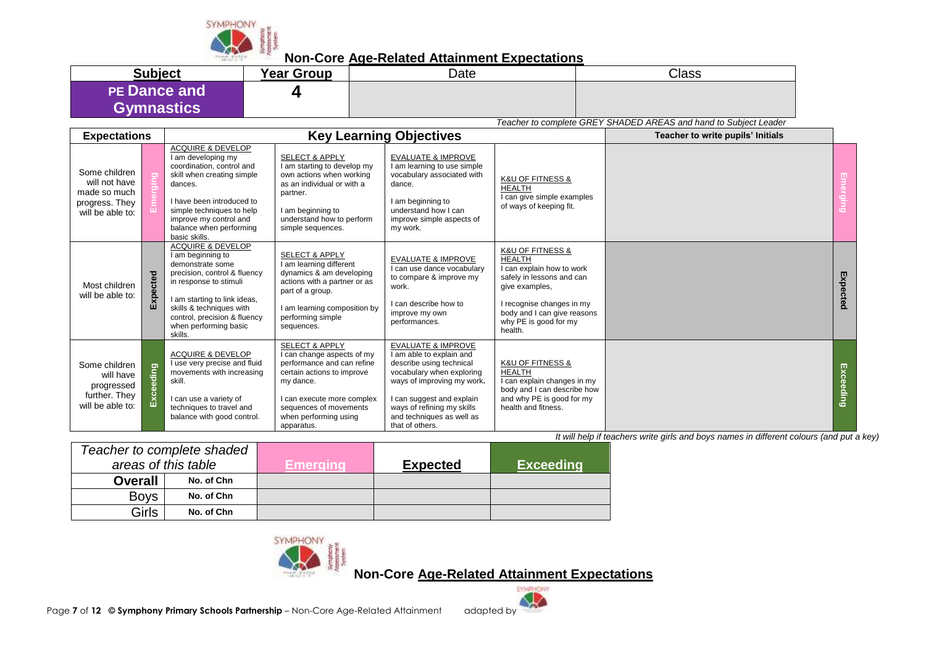

**Non-Core Age-Related Attainment Expectations**

| <b>Subject</b>                    | <b>Year Group</b> | Date | <b>Class</b> |
|-----------------------------------|-------------------|------|--------------|
| <b>PE Dance and</b><br>Gymnastics |                   |      |              |

*Teacher to complete GREY SHADED AREAS and hand to Subject Leader*

| <b>Expectations</b>                                                                  |           |                                                                                                                                                                                                                                                                 |                                                                                                                                                                                                                                 | <b>Key Learning Objectives</b>                                                                                                                                                                                                                              |                                                                                                                                                                                                                              | Teacher to write pupils' Initials |           |
|--------------------------------------------------------------------------------------|-----------|-----------------------------------------------------------------------------------------------------------------------------------------------------------------------------------------------------------------------------------------------------------------|---------------------------------------------------------------------------------------------------------------------------------------------------------------------------------------------------------------------------------|-------------------------------------------------------------------------------------------------------------------------------------------------------------------------------------------------------------------------------------------------------------|------------------------------------------------------------------------------------------------------------------------------------------------------------------------------------------------------------------------------|-----------------------------------|-----------|
| Some children<br>will not have<br>made so much<br>progress. They<br>will be able to: |           | <b>ACQUIRE &amp; DEVELOP</b><br>I am developing my<br>coordination, control and<br>skill when creating simple<br>dances.<br>I have been introduced to<br>simple techniques to help<br>improve my control and<br>balance when performing<br>basic skills.        | <b>SELECT &amp; APPLY</b><br>I am starting to develop my<br>own actions when working<br>as an individual or with a<br>partner.<br>I am beginning to<br>understand how to perform<br>simple sequences.                           | <b>EVALUATE &amp; IMPROVE</b><br>I am learning to use simple<br>vocabulary associated with<br>dance.<br>am beginning to<br>understand how I can<br>improve simple aspects of<br>my work.                                                                    | <b>K&amp;U OF FITNESS &amp;</b><br><b>HEALTH</b><br>I can give simple examples<br>of ways of keeping fit.                                                                                                                    |                                   |           |
| Most children<br>will be able to:                                                    | cted<br>囚 | <b>ACQUIRE &amp; DEVELOP</b><br>I am beginning to<br>demonstrate some<br>precision, control & fluency<br>in response to stimuli<br>I am starting to link ideas,<br>skills & techniques with<br>control, precision & fluency<br>when performing basic<br>skills. | <b>SELECT &amp; APPLY</b><br>I am learning different<br>dynamics & am developing<br>actions with a partner or as<br>part of a group.<br>I am learning composition by<br>performing simple<br>sequences.                         | <b>EVALUATE &amp; IMPROVE</b><br>I can use dance vocabulary<br>to compare & improve my<br>work.<br>I can describe how to<br>improve my own<br>performances.                                                                                                 | <b>K&amp;U OF FITNESS &amp;</b><br><b>HEALTH</b><br>I can explain how to work<br>safely in lessons and can<br>give examples,<br>I recognise changes in my<br>body and I can give reasons<br>why PE is good for my<br>health. |                                   | Expected  |
| Some children<br>will have<br>progressed<br>further. They<br>will be able to:        | Exceeding | <b>ACQUIRE &amp; DEVELOP</b><br>I use very precise and fluid<br>movements with increasing<br>skill.<br>I can use a variety of<br>techniques to travel and<br>balance with good control.                                                                         | <b>SELECT &amp; APPLY</b><br>I can change aspects of my<br>performance and can refine<br>certain actions to improve<br>my dance.<br>I can execute more complex<br>sequences of movements<br>when performing using<br>apparatus. | <b>EVALUATE &amp; IMPROVE</b><br>I am able to explain and<br>describe using technical<br>vocabulary when exploring<br>ways of improving my work.<br>I can suggest and explain<br>ways of refining my skills<br>and techniques as well as<br>that of others. | <b>K&amp;U OF FITNESS &amp;</b><br><b>HEALTH</b><br>I can explain changes in my<br>body and I can describe how<br>and why PE is good for my<br>health and fitness.                                                           |                                   | Exceeding |

*It will help if teachers write girls and boys names in different colours (and put a key)*

| Teacher to complete shaded |            |          |                 |                  |
|----------------------------|------------|----------|-----------------|------------------|
| areas of this table        |            | Emeraına | <b>Expected</b> | <b>Exceeding</b> |
| <b>Overall</b>             | No. of Chn |          |                 |                  |
| <b>Boys</b>                | No. of Chn |          |                 |                  |
| Girls                      | No. of Chn |          |                 |                  |



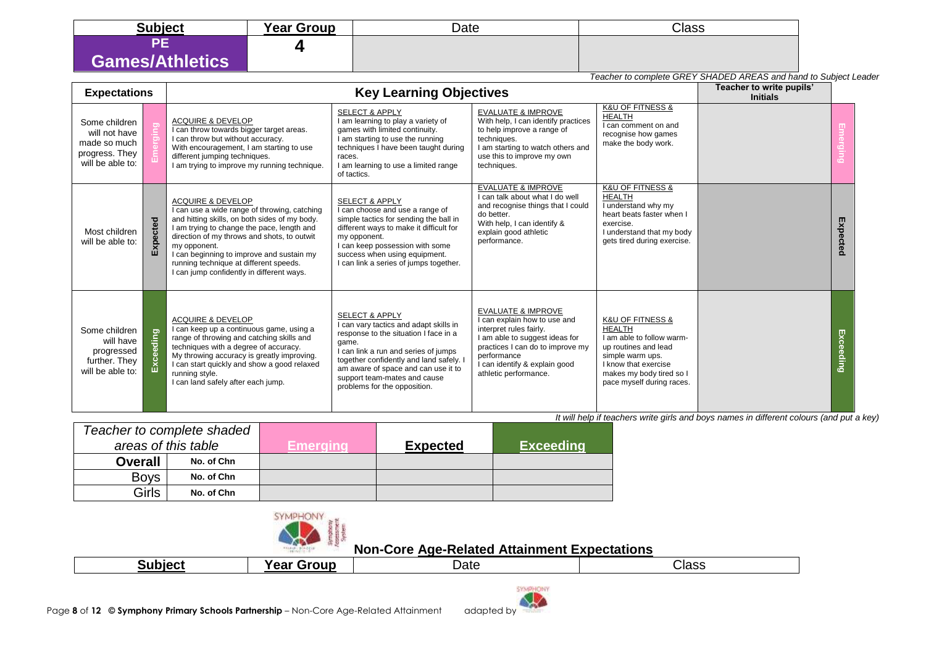| <b>Subject</b>         | <b>Year Group</b> | Date | <b>Class</b> |
|------------------------|-------------------|------|--------------|
| n E                    |                   |      |              |
| <b>Games/Athletics</b> |                   |      |              |

|                                                                                      | Teacher to complete GREY SHADED AREAS and hand to Subject Leader |                                                                                                                                                                                                                                                                                                                                                                                |                                                                                                                                                                                                                                                                                                                 |                                                                                                                                                                                                                                         |                                                                                                                                                                                                            |  |               |  |
|--------------------------------------------------------------------------------------|------------------------------------------------------------------|--------------------------------------------------------------------------------------------------------------------------------------------------------------------------------------------------------------------------------------------------------------------------------------------------------------------------------------------------------------------------------|-----------------------------------------------------------------------------------------------------------------------------------------------------------------------------------------------------------------------------------------------------------------------------------------------------------------|-----------------------------------------------------------------------------------------------------------------------------------------------------------------------------------------------------------------------------------------|------------------------------------------------------------------------------------------------------------------------------------------------------------------------------------------------------------|--|---------------|--|
|                                                                                      | <b>Key Learning Objectives</b><br><b>Expectations</b>            |                                                                                                                                                                                                                                                                                                                                                                                |                                                                                                                                                                                                                                                                                                                 | Teacher to write pupils'<br><b>Initials</b>                                                                                                                                                                                             |                                                                                                                                                                                                            |  |               |  |
| Some children<br>will not have<br>made so much<br>progress. They<br>will be able to: |                                                                  | <b>ACQUIRE &amp; DEVELOP</b><br>I can throw towards bigger target areas.<br>I can throw but without accuracy.<br>With encouragement, I am starting to use<br>different jumping techniques.<br>I am trying to improve my running technique.                                                                                                                                     | <b>SELECT &amp; APPLY</b><br>I am learning to play a variety of<br>games with limited continuity.<br>I am starting to use the running<br>techniques I have been taught during<br>races.<br>I am learning to use a limited range<br>of tactics.                                                                  | <b>EVALUATE &amp; IMPROVE</b><br>With help, I can identify practices<br>to help improve a range of<br>techniques.<br>I am starting to watch others and<br>use this to improve my own<br>techniques.                                     | <b>K&amp;U OF FITNESS &amp;</b><br><b>HEALTH</b><br>I can comment on and<br>recognise how games<br>make the body work.                                                                                     |  |               |  |
| Most children<br>will be able to:                                                    | scted<br>$\overline{\mathbf{z}}$                                 | <b>ACQUIRE &amp; DEVELOP</b><br>I can use a wide range of throwing, catching<br>and hitting skills, on both sides of my body.<br>I am trying to change the pace, length and<br>direction of my throws and shots, to outwit<br>my opponent.<br>I can beginning to improve and sustain my<br>running technique at different speeds.<br>I can jump confidently in different ways. | <b>SELECT &amp; APPLY</b><br>I can choose and use a range of<br>simple tactics for sending the ball in<br>different ways to make it difficult for<br>my opponent.<br>I can keep possession with some<br>success when using equipment.<br>I can link a series of jumps together.                                 | <b>EVALUATE &amp; IMPROVE</b><br>I can talk about what I do well<br>and recognise things that I could<br>do better.<br>With help, I can identify &<br>explain good athletic<br>performance.                                             | <b>K&amp;U OF FITNESS &amp;</b><br><b>HEALTH</b><br>I understand why my<br>heart beats faster when I<br>exercise.<br>I understand that my body<br>gets tired during exercise.                              |  | Expe<br>scted |  |
| Some children<br>will have<br>progressed<br>further. They<br>will be able to:        | Exceeding                                                        | <b>ACQUIRE &amp; DEVELOP</b><br>I can keep up a continuous game, using a<br>range of throwing and catching skills and<br>techniques with a degree of accuracy.<br>My throwing accuracy is greatly improving.<br>I can start quickly and show a good relaxed<br>running style.<br>I can land safely after each jump.                                                            | <b>SELECT &amp; APPLY</b><br>I can vary tactics and adapt skills in<br>response to the situation I face in a<br>game.<br>I can link a run and series of jumps<br>together confidently and land safely. I<br>am aware of space and can use it to<br>support team-mates and cause<br>problems for the opposition. | <b>EVALUATE &amp; IMPROVE</b><br>I can explain how to use and<br>interpret rules fairly.<br>I am able to suggest ideas for<br>practices I can do to improve my<br>performance<br>I can identify & explain good<br>athletic performance. | <b>K&amp;U OF FITNESS &amp;</b><br><b>HEALTH</b><br>I am able to follow warm-<br>up routines and lead<br>simple warm ups.<br>I know that exercise<br>makes my body tired so I<br>pace myself during races. |  |               |  |

| Teacher to complete shaded |            |          |                 |                  |
|----------------------------|------------|----------|-----------------|------------------|
| areas of this table        |            | Emeraina | <b>Expected</b> | <b>Exceeding</b> |
| <b>Overall</b>             | No. of Chn |          |                 |                  |
| <b>Boys</b>                | No. of Chn |          |                 |                  |
| Girls                      | No. of Chn |          |                 |                  |



| $\cdot$ uhioo $\cdot$<br>יוחור | ----<br>. .<br>.<br>. 60 O | Date | Class |
|--------------------------------|----------------------------|------|-------|
|                                |                            |      |       |

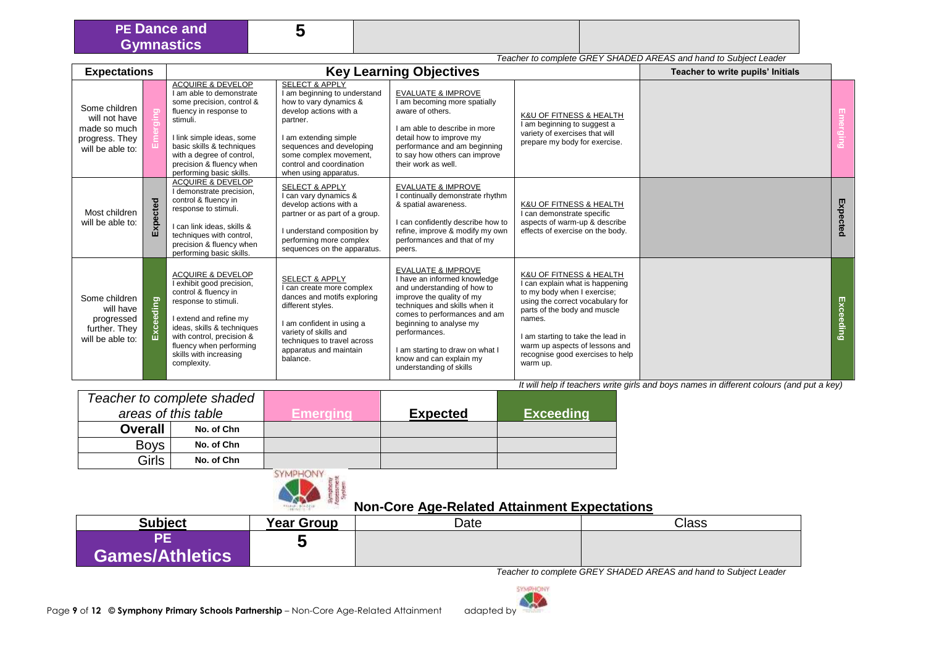#### **5**

*Teacher to complete GREY SHADED AREAS and hand to Subject Leader*

| <b>Expectations</b>                                                                  |              |                                                                                                                                                                                                                                                                            |                                                                                                                                                                                                                                                               | <b>Key Learning Objectives</b>                                                                                                                                                                                                                                                                                                  |                                                                                                                                                                                                                                                                                                | Teacher to write pupils' Initials |           |
|--------------------------------------------------------------------------------------|--------------|----------------------------------------------------------------------------------------------------------------------------------------------------------------------------------------------------------------------------------------------------------------------------|---------------------------------------------------------------------------------------------------------------------------------------------------------------------------------------------------------------------------------------------------------------|---------------------------------------------------------------------------------------------------------------------------------------------------------------------------------------------------------------------------------------------------------------------------------------------------------------------------------|------------------------------------------------------------------------------------------------------------------------------------------------------------------------------------------------------------------------------------------------------------------------------------------------|-----------------------------------|-----------|
| Some children<br>will not have<br>made so much<br>progress. They<br>will be able to: |              | <b>ACQUIRE &amp; DEVELOP</b><br>I am able to demonstrate<br>some precision, control &<br>fluency in response to<br>stimuli.<br>I link simple ideas, some<br>basic skills & techniques<br>with a degree of control,<br>precision & fluency when<br>performing basic skills. | <b>SELECT &amp; APPLY</b><br>I am beginning to understand<br>how to vary dynamics &<br>develop actions with a<br>partner.<br>I am extending simple<br>sequences and developing<br>some complex movement,<br>control and coordination<br>when using apparatus. | <b>EVALUATE &amp; IMPROVE</b><br>I am becoming more spatially<br>aware of others.<br>I am able to describe in more<br>detail how to improve my<br>performance and am beginning<br>to say how others can improve<br>their work as well.                                                                                          | K&U OF FITNESS & HEALTH<br>I am beginning to suggest a<br>variety of exercises that will<br>prepare my body for exercise.                                                                                                                                                                      |                                   |           |
| Most children<br>will be able to:                                                    | cted<br>Expe | <b>ACQUIRE &amp; DEVELOP</b><br>I demonstrate precision,<br>control & fluency in<br>response to stimuli.<br>I can link ideas, skills &<br>techniques with control,<br>precision & fluency when<br>performing basic skills.                                                 | <b>SELECT &amp; APPLY</b><br>can vary dynamics &<br>develop actions with a<br>partner or as part of a group.<br>I understand composition by<br>performing more complex<br>sequences on the apparatus.                                                         | <b>EVALUATE &amp; IMPROVE</b><br>I continually demonstrate rhythm<br>& spatial awareness.<br>I can confidently describe how to<br>refine, improve & modify my own<br>performances and that of my<br>peers.                                                                                                                      | K&U OF FITNESS & HEALTH<br>I can demonstrate specific<br>aspects of warm-up & describe<br>effects of exercise on the body.                                                                                                                                                                     |                                   | Expected  |
| Some children<br>will have<br>progressed<br>further. They<br>will be able to:        | Exceeding    | <b>ACQUIRE &amp; DEVELOP</b><br>I exhibit good precision,<br>control & fluency in<br>response to stimuli.<br>I extend and refine my<br>ideas, skills & techniques<br>with control, precision &<br>fluency when performing<br>skills with increasing<br>complexity.         | <b>SELECT &amp; APPLY</b><br>I can create more complex<br>dances and motifs exploring<br>different styles.<br>I am confident in using a<br>variety of skills and<br>techniques to travel across<br>apparatus and maintain<br>balance.                         | <b>EVALUATE &amp; IMPROVE</b><br>I have an informed knowledge<br>and understanding of how to<br>improve the quality of my<br>techniques and skills when it<br>comes to performances and am<br>beginning to analyse my<br>performances.<br>I am starting to draw on what I<br>know and can explain my<br>understanding of skills | K&U OF FITNESS & HEALTH<br>I can explain what is happening<br>to my body when I exercise;<br>using the correct vocabulary for<br>parts of the body and muscle<br>names.<br>I am starting to take the lead in<br>warm up aspects of lessons and<br>recognise good exercises to help<br>warm up. |                                   | Exceeding |

*It will help if teachers write girls and boys names in different colours (and put a key)*

|                     |                | Teacher to complete shaded |                              |                  |  |
|---------------------|----------------|----------------------------|------------------------------|------------------|--|
| areas of this table |                | Emeraina'                  | <b>Expected</b>              | <b>Exceeding</b> |  |
|                     | <b>Overall</b> | No. of Chn                 |                              |                  |  |
|                     | <b>Boys</b>    | No. of Chn                 |                              |                  |  |
|                     | <b>Girls</b>   | No. of Chn                 |                              |                  |  |
|                     |                |                            | WELL-ALL ARREST FORM & RIVER |                  |  |



# **Non-Core Age-Related Attainment Expectations**

| <b>Subject</b>         | <b>Year Group</b> | Date | <b>Class</b> |
|------------------------|-------------------|------|--------------|
| <b>Games/Athletics</b> |                   |      |              |

*Teacher to complete GREY SHADED AREAS and hand to Subject Leader*

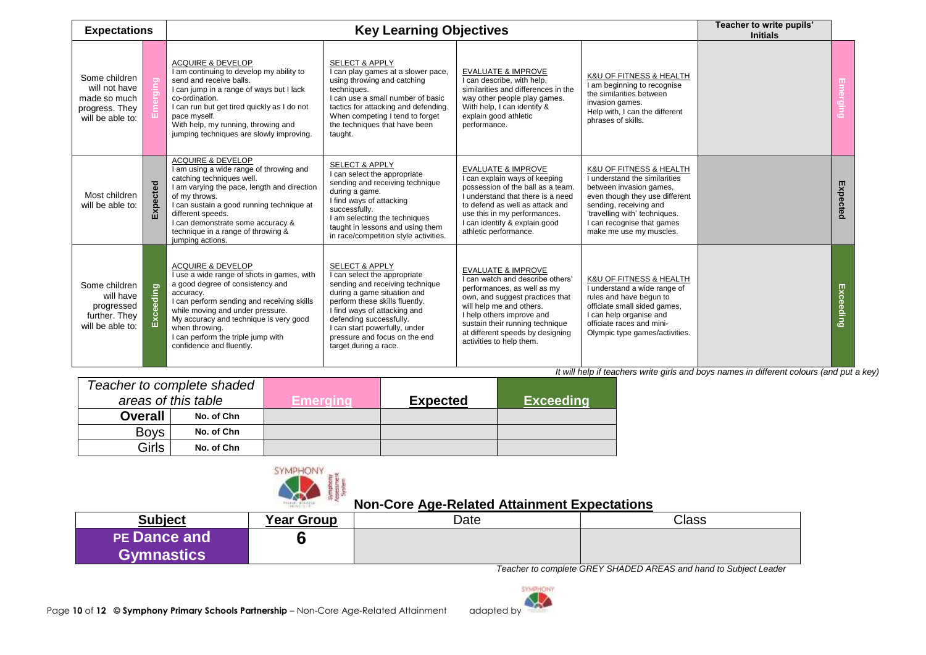| <b>Expectations</b>                                                                  |              |                                                                                                                                                                                                                                                                                                                                             | <b>Key Learning Objectives</b>                                                                                                                                                                                                                                                                                      |                                                                                                                                                                                                                                                                                                 |                                                                                                                                                                                                                                           | Teacher to write pupils'<br><b>Initials</b> |                  |
|--------------------------------------------------------------------------------------|--------------|---------------------------------------------------------------------------------------------------------------------------------------------------------------------------------------------------------------------------------------------------------------------------------------------------------------------------------------------|---------------------------------------------------------------------------------------------------------------------------------------------------------------------------------------------------------------------------------------------------------------------------------------------------------------------|-------------------------------------------------------------------------------------------------------------------------------------------------------------------------------------------------------------------------------------------------------------------------------------------------|-------------------------------------------------------------------------------------------------------------------------------------------------------------------------------------------------------------------------------------------|---------------------------------------------|------------------|
| Some children<br>will not have<br>made so much<br>progress. They<br>will be able to: |              | <b>ACQUIRE &amp; DEVELOP</b><br>I am continuing to develop my ability to<br>send and receive balls.<br>I can jump in a range of ways but I lack<br>co-ordination.<br>I can run but get tired quickly as I do not<br>pace myself.<br>With help, my running, throwing and<br>jumping techniques are slowly improving.                         | <b>SELECT &amp; APPLY</b><br>I can play games at a slower pace,<br>using throwing and catching<br>techniques.<br>I can use a small number of basic<br>tactics for attacking and defending.<br>When competing I tend to forget<br>the techniques that have been<br>taught.                                           | <b>EVALUATE &amp; IMPROVE</b><br>I can describe, with help,<br>similarities and differences in the<br>way other people play games.<br>With help, I can identify &<br>explain good athletic<br>performance.                                                                                      | K&U OF FITNESS & HEALTH<br>I am beginning to recognise<br>the similarities between<br>invasion games.<br>Help with, I can the different<br>phrases of skills.                                                                             |                                             |                  |
| Most children<br>will be able to:                                                    | cted<br>囚    | <b>ACQUIRE &amp; DEVELOP</b><br>I am using a wide range of throwing and<br>catching techniques well.<br>I am varying the pace, length and direction<br>of my throws.<br>I can sustain a good running technique at<br>different speeds.<br>I can demonstrate some accuracy &<br>technique in a range of throwing &<br>jumping actions.       | <b>SELECT &amp; APPLY</b><br>I can select the appropriate<br>sending and receiving technique<br>during a game.<br>I find ways of attacking<br>successfully.<br>I am selecting the techniques<br>taught in lessons and using them<br>in race/competition style activities.                                           | <b>EVALUATE &amp; IMPROVE</b><br>I can explain ways of keeping<br>possession of the ball as a team.<br>I understand that there is a need<br>to defend as well as attack and<br>use this in my performances.<br>I can identify & explain good<br>athletic performance.                           | K&U OF FITNESS & HEALTH<br>I understand the similarities<br>between invasion games,<br>even though they use different<br>sending, receiving and<br>'travelling with' techniques.<br>I can recognise that games<br>make me use my muscles. |                                             | Expected         |
| Some children<br>will have<br>progressed<br>further. They<br>will be able to:        | ceeding<br>ă | <b>ACQUIRE &amp; DEVELOP</b><br>I use a wide range of shots in games, with<br>a good degree of consistency and<br>accuracy.<br>I can perform sending and receiving skills<br>while moving and under pressure.<br>My accuracy and technique is very good<br>when throwing.<br>I can perform the triple jump with<br>confidence and fluently. | <b>SELECT &amp; APPLY</b><br>I can select the appropriate<br>sending and receiving technique<br>during a game situation and<br>perform these skills fluently.<br>I find ways of attacking and<br>defending successfully.<br>I can start powerfully, under<br>pressure and focus on the end<br>target during a race. | <b>EVALUATE &amp; IMPROVE</b><br>I can watch and describe others'<br>performances, as well as my<br>own, and suggest practices that<br>will help me and others.<br>I help others improve and<br>sustain their running technique<br>at different speeds by designing<br>activities to help them. | K&U OF FITNESS & HEALTH<br>I understand a wide range of<br>rules and have begun to<br>officiate small sided games,<br>I can help organise and<br>officiate races and mini-<br>Olympic type games/activities.                              |                                             | <b>Exceeding</b> |

| Teacher to complete shaded |                |                     |          |                 |                  |
|----------------------------|----------------|---------------------|----------|-----------------|------------------|
|                            |                | areas of this table | Emeraına | <b>Expected</b> | <b>Exceeding</b> |
|                            | <b>Overall</b> | No. of Chn          |          |                 |                  |
|                            | <b>Boys</b>    | No. of Chn          |          |                 |                  |
|                            | Girls          | No. of Chn          |          |                 |                  |



## **Non-Core Age-Related Attainment Expectations**

| <b>Subject</b>                           | <b>Year Group</b> | Date | <b>Class</b> |
|------------------------------------------|-------------------|------|--------------|
| <b>PE Dance and</b><br><b>Gymnastics</b> |                   |      |              |

*Teacher to complete GREY SHADED AREAS and hand to Subject Leader*

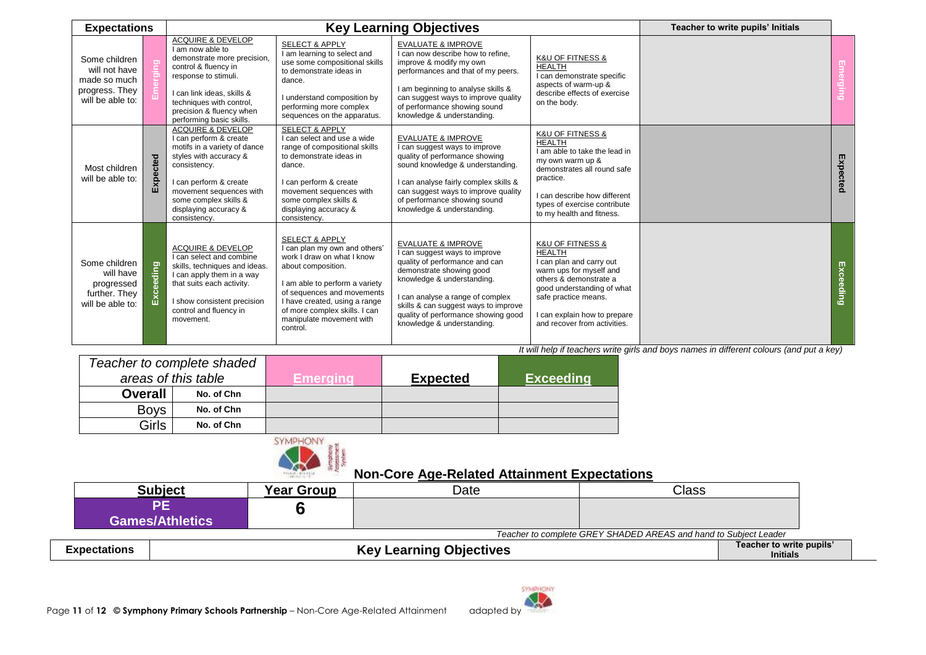| <b>Expectations</b>                                                                  |                                   |                                                                                                                                                                                                                                                         |                                                                                                                                                                                                                                                                                          | <b>Key Learning Objectives</b>                                                                                                                                                                                                                                                                              |                                                                                                                                                                                                                                                         | Teacher to write pupils' Initials |           |
|--------------------------------------------------------------------------------------|-----------------------------------|---------------------------------------------------------------------------------------------------------------------------------------------------------------------------------------------------------------------------------------------------------|------------------------------------------------------------------------------------------------------------------------------------------------------------------------------------------------------------------------------------------------------------------------------------------|-------------------------------------------------------------------------------------------------------------------------------------------------------------------------------------------------------------------------------------------------------------------------------------------------------------|---------------------------------------------------------------------------------------------------------------------------------------------------------------------------------------------------------------------------------------------------------|-----------------------------------|-----------|
| Some children<br>will not have<br>made so much<br>progress. They<br>will be able to: |                                   | <b>ACQUIRE &amp; DEVELOP</b><br>I am now able to<br>demonstrate more precision,<br>control & fluency in<br>response to stimuli.<br>I can link ideas, skills &<br>techniques with control,<br>precision & fluency when<br>performing basic skills.       | <b>SELECT &amp; APPLY</b><br>I am learning to select and<br>use some compositional skills<br>to demonstrate ideas in<br>dance.<br>I understand composition by<br>performing more complex<br>sequences on the apparatus.                                                                  | <b>EVALUATE &amp; IMPROVE</b><br>I can now describe how to refine,<br>improve & modify my own<br>performances and that of my peers.<br>I am beginning to analyse skills &<br>can suggest ways to improve quality<br>of performance showing sound<br>knowledge & understanding.                              | K&U OF FITNESS &<br><b>HEALTH</b><br>I can demonstrate specific<br>aspects of warm-up &<br>describe effects of exercise<br>on the body.                                                                                                                 |                                   |           |
| Most children<br>will be able to:                                                    | pected<br>$\overline{\mathbf{z}}$ | <b>ACQUIRE &amp; DEVELOP</b><br>I can perform & create<br>motifs in a variety of dance<br>styles with accuracy &<br>consistency.<br>I can perform & create<br>movement sequences with<br>some complex skills &<br>displaying accuracy &<br>consistency. | <b>SELECT &amp; APPLY</b><br>I can select and use a wide<br>range of compositional skills<br>to demonstrate ideas in<br>dance.<br>I can perform & create<br>movement sequences with<br>some complex skills &<br>displaying accuracy &<br>consistency.                                    | <b>EVALUATE &amp; IMPROVE</b><br>I can suggest ways to improve<br>quality of performance showing<br>sound knowledge & understanding.<br>I can analyse fairly complex skills &<br>can suggest ways to improve quality<br>of performance showing sound<br>knowledge & understanding.                          | K&U OF FITNESS &<br><b>HEALTH</b><br>I am able to take the lead in<br>my own warm up &<br>demonstrates all round safe<br>practice.<br>I can describe how different<br>types of exercise contribute<br>to my health and fitness.                         |                                   | Expected  |
| Some children<br>will have<br>progressed<br>further. They<br>will be able to:        | Exceeding                         | <b>ACQUIRE &amp; DEVELOP</b><br>I can select and combine<br>skills, techniques and ideas.<br>I can apply them in a way<br>that suits each activity.<br>I show consistent precision<br>control and fluency in<br>movement.                               | <b>SELECT &amp; APPLY</b><br>I can plan my own and others'<br>work I draw on what I know<br>about composition.<br>I am able to perform a variety<br>of sequences and movements<br>I have created, using a range<br>of more complex skills. I can<br>manipulate movement with<br>control. | <b>EVALUATE &amp; IMPROVE</b><br>I can suggest ways to improve<br>quality of performance and can<br>demonstrate showing good<br>knowledge & understanding.<br>I can analyse a range of complex<br>skills & can suggest ways to improve<br>quality of performance showing good<br>knowledge & understanding. | <b>K&amp;U OF FITNESS &amp;</b><br><b>HEALTH</b><br>I can plan and carry out<br>warm ups for myself and<br>others & demonstrate a<br>good understanding of what<br>safe practice means.<br>I can explain how to prepare<br>and recover from activities. |                                   | Exceeding |

|                     | Teacher to complete shaded |          |                 |                   |
|---------------------|----------------------------|----------|-----------------|-------------------|
| areas of this table |                            | Emeraina | <b>Expected</b> | <b>∖Exceeding</b> |
| <b>Overall</b>      | No. of Chn                 |          |                 |                   |
| <b>Boys</b>         | No. of Chn                 |          |                 |                   |
| Girls               | No. of Chn                 |          |                 |                   |



|                        |            |      | _ _ _ _ _ _                                                      |
|------------------------|------------|------|------------------------------------------------------------------|
| Subiect                | Year Group | Date | Class                                                            |
| <b>Games/Athletics</b> |            |      |                                                                  |
|                        |            |      | Teacher to complete GREY SHADED AREAS and hand to Subject Leader |

| <b>Expectations</b> | Learning Objectives<br>Kev | $\cdots$<br>Teacher to write pupils'<br><b>Initials</b> |  |
|---------------------|----------------------------|---------------------------------------------------------|--|
|                     |                            |                                                         |  |